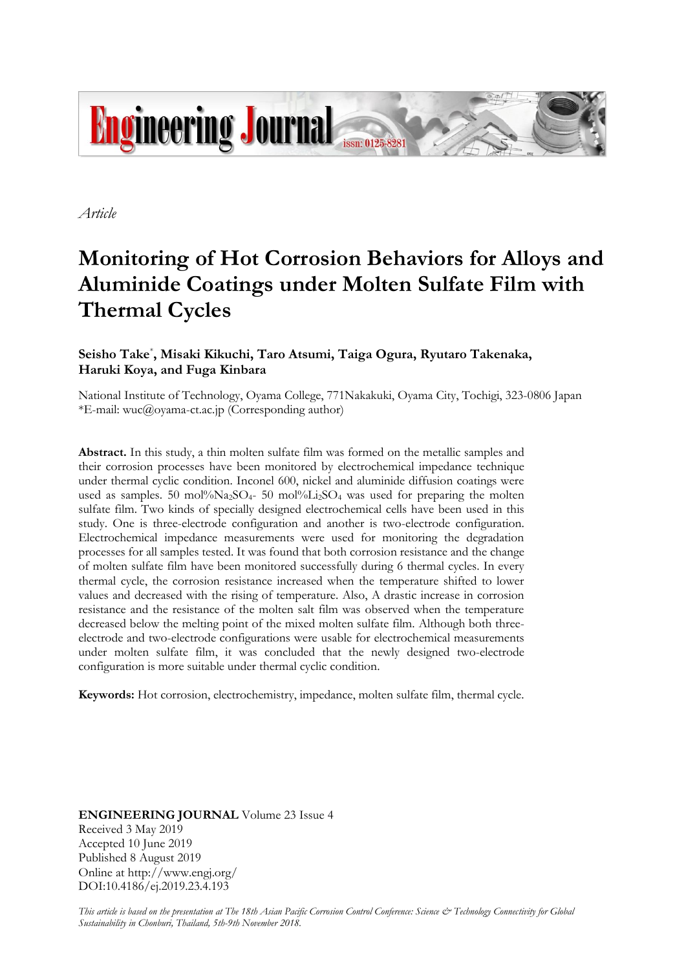

*Article*

# **Monitoring of Hot Corrosion Behaviors for Alloys and Aluminide Coatings under Molten Sulfate Film with Thermal Cycles**

# **Seisho Take**\* **, Misaki Kikuchi, Taro Atsumi, Taiga Ogura, Ryutaro Takenaka, Haruki Koya, and Fuga Kinbara**

National Institute of Technology, Oyama College, 771Nakakuki, Oyama City, Tochigi, 323-0806 Japan \*E-mail: wuc@oyama-ct.ac.jp (Corresponding author)

**Abstract.** In this study, a thin molten sulfate film was formed on the metallic samples and their corrosion processes have been monitored by electrochemical impedance technique under thermal cyclic condition. Inconel 600, nickel and aluminide diffusion coatings were used as samples. 50 mol% $Na_2SO_4$ - 50 mol% $Li_2SO_4$  was used for preparing the molten sulfate film. Two kinds of specially designed electrochemical cells have been used in this study. One is three-electrode configuration and another is two-electrode configuration. Electrochemical impedance measurements were used for monitoring the degradation processes for all samples tested. It was found that both corrosion resistance and the change of molten sulfate film have been monitored successfully during 6 thermal cycles. In every thermal cycle, the corrosion resistance increased when the temperature shifted to lower values and decreased with the rising of temperature. Also, A drastic increase in corrosion resistance and the resistance of the molten salt film was observed when the temperature decreased below the melting point of the mixed molten sulfate film. Although both threeelectrode and two-electrode configurations were usable for electrochemical measurements under molten sulfate film, it was concluded that the newly designed two-electrode configuration is more suitable under thermal cyclic condition.

**Keywords:** Hot corrosion, electrochemistry, impedance, molten sulfate film, thermal cycle.

**ENGINEERING JOURNAL** Volume 23 Issue 4 Received 3 May 2019 Accepted 10 June 2019 Published 8 August 2019 Online at http://www.engj.org/ DOI:10.4186/ej.2019.23.4.193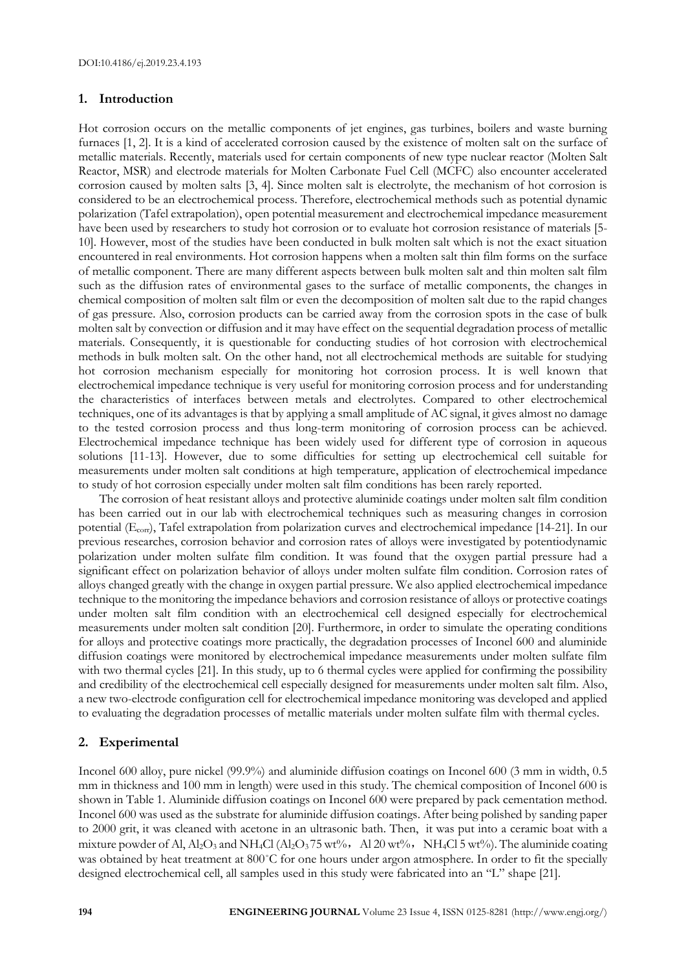# **1. Introduction**

Hot corrosion occurs on the metallic components of jet engines, gas turbines, boilers and waste burning furnaces [1, 2]. It is a kind of accelerated corrosion caused by the existence of molten salt on the surface of metallic materials. Recently, materials used for certain components of new type nuclear reactor (Molten Salt Reactor, MSR) and electrode materials for Molten Carbonate Fuel Cell (MCFC) also encounter accelerated corrosion caused by molten salts [3, 4]. Since molten salt is electrolyte, the mechanism of hot corrosion is considered to be an electrochemical process. Therefore, electrochemical methods such as potential dynamic polarization (Tafel extrapolation), open potential measurement and electrochemical impedance measurement have been used by researchers to study hot corrosion or to evaluate hot corrosion resistance of materials [5- 10]. However, most of the studies have been conducted in bulk molten salt which is not the exact situation encountered in real environments. Hot corrosion happens when a molten salt thin film forms on the surface of metallic component. There are many different aspects between bulk molten salt and thin molten salt film such as the diffusion rates of environmental gases to the surface of metallic components, the changes in chemical composition of molten salt film or even the decomposition of molten salt due to the rapid changes of gas pressure. Also, corrosion products can be carried away from the corrosion spots in the case of bulk molten salt by convection or diffusion and it may have effect on the sequential degradation process of metallic materials. Consequently, it is questionable for conducting studies of hot corrosion with electrochemical methods in bulk molten salt. On the other hand, not all electrochemical methods are suitable for studying hot corrosion mechanism especially for monitoring hot corrosion process. It is well known that electrochemical impedance technique is very useful for monitoring corrosion process and for understanding the characteristics of interfaces between metals and electrolytes. Compared to other electrochemical techniques, one of its advantages is that by applying a small amplitude of AC signal, it gives almost no damage to the tested corrosion process and thus long-term monitoring of corrosion process can be achieved. Electrochemical impedance technique has been widely used for different type of corrosion in aqueous solutions [11-13]. However, due to some difficulties for setting up electrochemical cell suitable for measurements under molten salt conditions at high temperature, application of electrochemical impedance to study of hot corrosion especially under molten salt film conditions has been rarely reported.

The corrosion of heat resistant alloys and protective aluminide coatings under molten salt film condition has been carried out in our lab with electrochemical techniques such as measuring changes in corrosion potential (Ecorr), Tafel extrapolation from polarization curves and electrochemical impedance [14-21]. In our previous researches, corrosion behavior and corrosion rates of alloys were investigated by potentiodynamic polarization under molten sulfate film condition. It was found that the oxygen partial pressure had a significant effect on polarization behavior of alloys under molten sulfate film condition. Corrosion rates of alloys changed greatly with the change in oxygen partial pressure. We also applied electrochemical impedance technique to the monitoring the impedance behaviors and corrosion resistance of alloys or protective coatings under molten salt film condition with an electrochemical cell designed especially for electrochemical measurements under molten salt condition [20]. Furthermore, in order to simulate the operating conditions for alloys and protective coatings more practically, the degradation processes of Inconel 600 and aluminide diffusion coatings were monitored by electrochemical impedance measurements under molten sulfate film with two thermal cycles [21]. In this study, up to 6 thermal cycles were applied for confirming the possibility and credibility of the electrochemical cell especially designed for measurements under molten salt film. Also, a new two-electrode configuration cell for electrochemical impedance monitoring was developed and applied to evaluating the degradation processes of metallic materials under molten sulfate film with thermal cycles.

# **2. Experimental**

Inconel 600 alloy, pure nickel (99.9%) and aluminide diffusion coatings on Inconel 600 (3 mm in width, 0.5 mm in thickness and 100 mm in length) were used in this study. The chemical composition of Inconel 600 is shown in Table 1. Aluminide diffusion coatings on Inconel 600 were prepared by pack cementation method. Inconel 600 was used as the substrate for aluminide diffusion coatings. After being polished by sanding paper to 2000 grit, it was cleaned with acetone in an ultrasonic bath. Then, it was put into a ceramic boat with a mixture powder of Al, Al<sub>2</sub>O<sub>3</sub> and NH<sub>4</sub>Cl (Al<sub>2</sub>O<sub>3</sub>75 wt%, Al 20 wt%, NH<sub>4</sub>Cl 5 wt%). The aluminide coating was obtained by heat treatment at 800°C for one hours under argon atmosphere. In order to fit the specially designed electrochemical cell, all samples used in this study were fabricated into an "L" shape [21].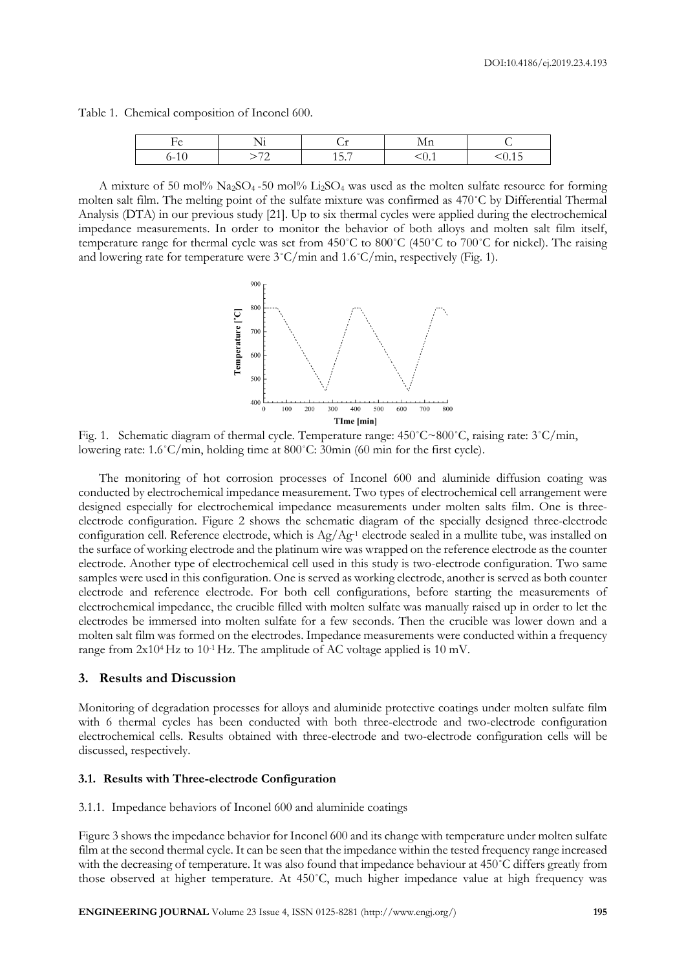Table 1. Chemical composition of Inconel 600.

|     | $ -$<br>. . |                               |               |
|-----|-------------|-------------------------------|---------------|
| . . |             | $\overline{\phantom{0}}$<br>v | $\sim$ $\sim$ |

A mixture of 50 mol%  $Na_2SO_4$ -50 mol% Li<sub>2</sub>SO<sub>4</sub> was used as the molten sulfate resource for forming molten salt film. The melting point of the sulfate mixture was confirmed as 470˚C by Differential Thermal Analysis (DTA) in our previous study [21]. Up to six thermal cycles were applied during the electrochemical impedance measurements. In order to monitor the behavior of both alloys and molten salt film itself, temperature range for thermal cycle was set from 450˚C to 800˚C (450˚C to 700˚C for nickel). The raising and lowering rate for temperature were  $3^{\circ}$ C/min and  $1.6^{\circ}$ C/min, respectively (Fig. 1).



Fig. 1. Schematic diagram of thermal cycle. Temperature range: 450˚C~800˚C, raising rate: 3˚C/min, lowering rate: 1.6˚C/min, holding time at 800˚C: 30min (60 min for the first cycle).

The monitoring of hot corrosion processes of Inconel 600 and aluminide diffusion coating was conducted by electrochemical impedance measurement. Two types of electrochemical cell arrangement were designed especially for electrochemical impedance measurements under molten salts film. One is threeelectrode configuration. Figure 2 shows the schematic diagram of the specially designed three-electrode configuration cell. Reference electrode, which is Ag/Ag-1 electrode sealed in a mullite tube, was installed on the surface of working electrode and the platinum wire was wrapped on the reference electrode as the counter electrode. Another type of electrochemical cell used in this study is two-electrode configuration. Two same samples were used in this configuration. One is served as working electrode, another is served as both counter electrode and reference electrode. For both cell configurations, before starting the measurements of electrochemical impedance, the crucible filled with molten sulfate was manually raised up in order to let the electrodes be immersed into molten sulfate for a few seconds. Then the crucible was lower down and a molten salt film was formed on the electrodes. Impedance measurements were conducted within a frequency range from  $2x10^4$  Hz to  $10^{-1}$  Hz. The amplitude of AC voltage applied is  $10$  mV.

# **3. Results and Discussion**

Monitoring of degradation processes for alloys and aluminide protective coatings under molten sulfate film with 6 thermal cycles has been conducted with both three-electrode and two-electrode configuration electrochemical cells. Results obtained with three-electrode and two-electrode configuration cells will be discussed, respectively.

#### **3.1. Results with Three-electrode Configuration**

#### 3.1.1. Impedance behaviors of Inconel 600 and aluminide coatings

Figure 3 shows the impedance behavior for Inconel 600 and its change with temperature under molten sulfate film at the second thermal cycle. It can be seen that the impedance within the tested frequency range increased with the decreasing of temperature. It was also found that impedance behaviour at 450˚C differs greatly from those observed at higher temperature. At 450˚C, much higher impedance value at high frequency was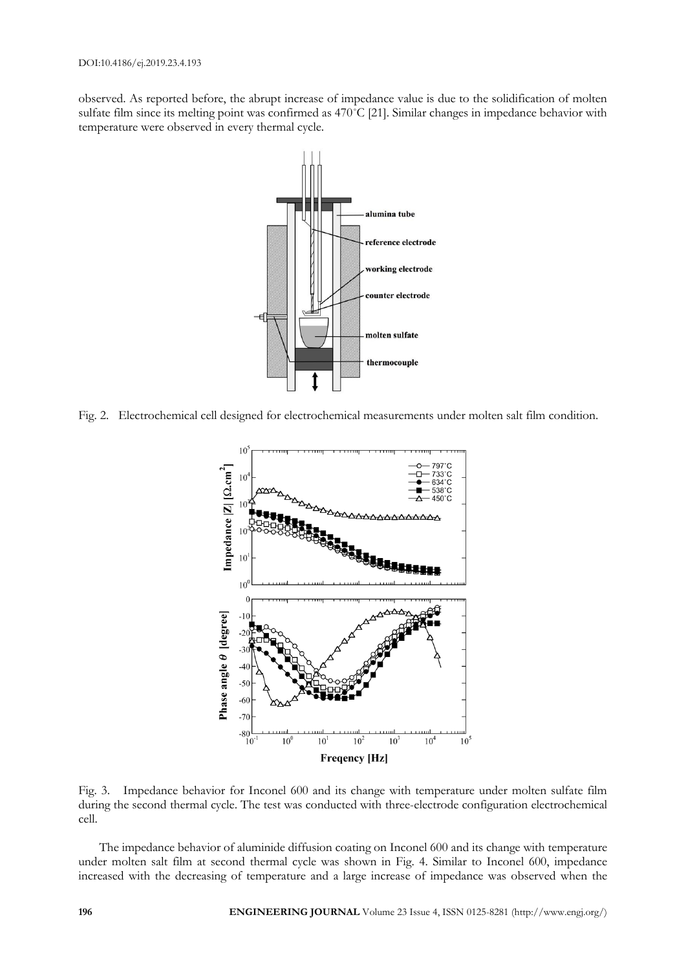observed. As reported before, the abrupt increase of impedance value is due to the solidification of molten sulfate film since its melting point was confirmed as 470˚C [21]. Similar changes in impedance behavior with temperature were observed in every thermal cycle.



Fig. 2. Electrochemical cell designed for electrochemical measurements under molten salt film condition.



Fig. 3. Impedance behavior for Inconel 600 and its change with temperature under molten sulfate film during the second thermal cycle. The test was conducted with three-electrode configuration electrochemical cell.

The impedance behavior of aluminide diffusion coating on Inconel 600 and its change with temperature under molten salt film at second thermal cycle was shown in Fig. 4. Similar to Inconel 600, impedance increased with the decreasing of temperature and a large increase of impedance was observed when the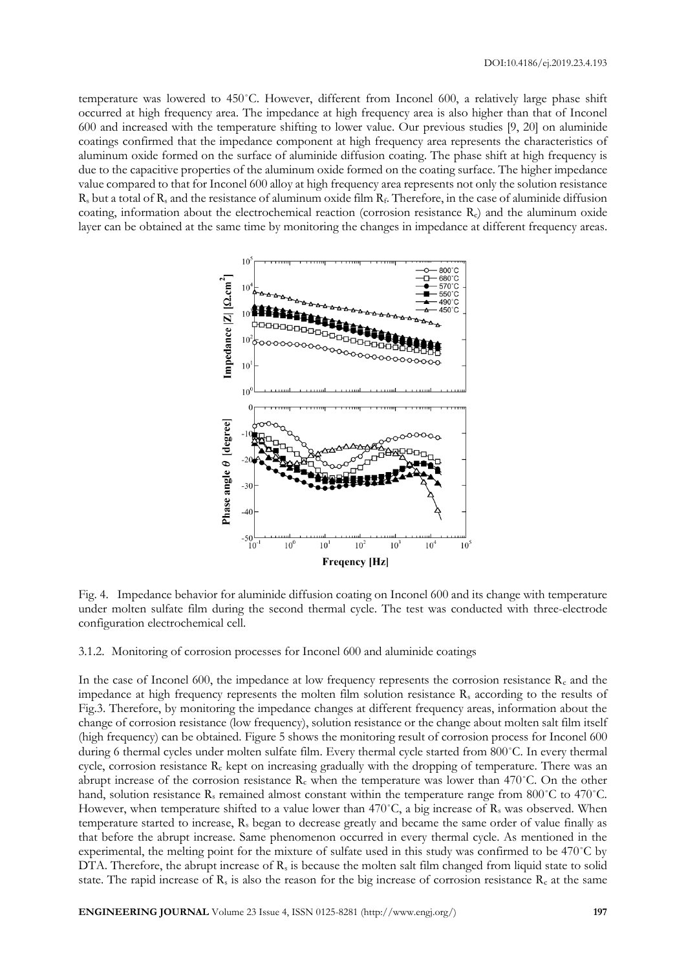temperature was lowered to 450˚C. However, different from Inconel 600, a relatively large phase shift occurred at high frequency area. The impedance at high frequency area is also higher than that of Inconel 600 and increased with the temperature shifting to lower value. Our previous studies [9, 20] on aluminide coatings confirmed that the impedance component at high frequency area represents the characteristics of aluminum oxide formed on the surface of aluminide diffusion coating. The phase shift at high frequency is due to the capacitive properties of the aluminum oxide formed on the coating surface. The higher impedance value compared to that for Inconel 600 alloy at high frequency area represents not only the solution resistance  $R_s$  but a total of  $R_s$  and the resistance of aluminum oxide film  $R_f$ . Therefore, in the case of aluminide diffusion coating, information about the electrochemical reaction (corrosion resistance Rc) and the aluminum oxide layer can be obtained at the same time by monitoring the changes in impedance at different frequency areas.



Fig. 4. Impedance behavior for aluminide diffusion coating on Inconel 600 and its change with temperature under molten sulfate film during the second thermal cycle. The test was conducted with three-electrode configuration electrochemical cell.

# 3.1.2. Monitoring of corrosion processes for Inconel 600 and aluminide coatings

In the case of Inconel 600, the impedance at low frequency represents the corrosion resistance  $R_c$  and the impedance at high frequency represents the molten film solution resistance R<sup>s</sup> according to the results of Fig.3. Therefore, by monitoring the impedance changes at different frequency areas, information about the change of corrosion resistance (low frequency), solution resistance or the change about molten salt film itself (high frequency) can be obtained. Figure 5 shows the monitoring result of corrosion process for Inconel 600 during 6 thermal cycles under molten sulfate film. Every thermal cycle started from 800˚C. In every thermal cycle, corrosion resistance  $R_c$  kept on increasing gradually with the dropping of temperature. There was an abrupt increase of the corrosion resistance  $R_c$  when the temperature was lower than 470°C. On the other hand, solution resistance  $R_s$  remained almost constant within the temperature range from 800°C to 470°C. However, when temperature shifted to a value lower than  $470^{\circ}$ C, a big increase of R<sub>s</sub> was observed. When temperature started to increase, R<sub>s</sub> began to decrease greatly and became the same order of value finally as that before the abrupt increase. Same phenomenon occurred in every thermal cycle. As mentioned in the experimental, the melting point for the mixture of sulfate used in this study was confirmed to be 470˚C by DTA. Therefore, the abrupt increase of  $R_s$  is because the molten salt film changed from liquid state to solid state. The rapid increase of  $R_s$  is also the reason for the big increase of corrosion resistance  $R_c$  at the same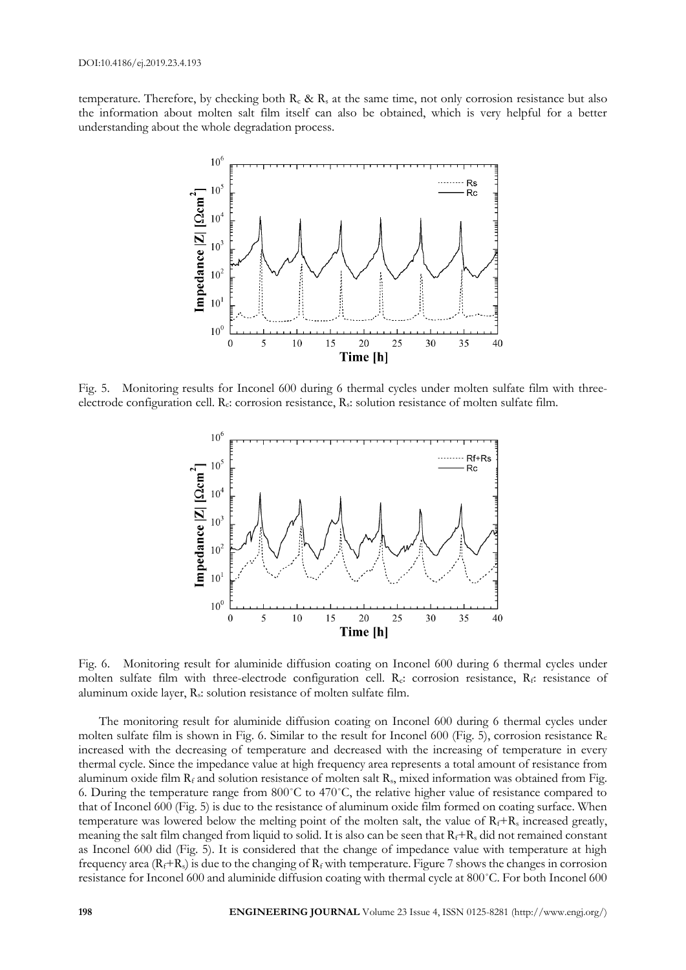temperature. Therefore, by checking both  $R_c \& R_s$  at the same time, not only corrosion resistance but also the information about molten salt film itself can also be obtained, which is very helpful for a better understanding about the whole degradation process.



Fig. 5. Monitoring results for Inconel 600 during 6 thermal cycles under molten sulfate film with threeelectrode configuration cell. R<sub>c</sub>: corrosion resistance, R<sub>s</sub>: solution resistance of molten sulfate film.



Fig. 6. Monitoring result for aluminide diffusion coating on Inconel 600 during 6 thermal cycles under molten sulfate film with three-electrode configuration cell. Rc: corrosion resistance, Rf: resistance of aluminum oxide layer, Rs: solution resistance of molten sulfate film.

The monitoring result for aluminide diffusion coating on Inconel 600 during 6 thermal cycles under molten sulfate film is shown in Fig. 6. Similar to the result for Inconel 600 (Fig. 5), corrosion resistance  $R_c$ increased with the decreasing of temperature and decreased with the increasing of temperature in every thermal cycle. Since the impedance value at high frequency area represents a total amount of resistance from aluminum oxide film  $R_f$  and solution resistance of molten salt  $R_s$ , mixed information was obtained from Fig. 6. During the temperature range from 800˚C to 470˚C, the relative higher value of resistance compared to that of Inconel 600 (Fig. 5) is due to the resistance of aluminum oxide film formed on coating surface. When temperature was lowered below the melting point of the molten salt, the value of  $R_f+R_s$  increased greatly, meaning the salt film changed from liquid to solid. It is also can be seen that  $R_f + R_s$  did not remained constant as Inconel 600 did (Fig. 5). It is considered that the change of impedance value with temperature at high frequency area  $(R_f+R_s)$  is due to the changing of  $R_f$  with temperature. Figure 7 shows the changes in corrosion resistance for Inconel 600 and aluminide diffusion coating with thermal cycle at 800˚C. For both Inconel 600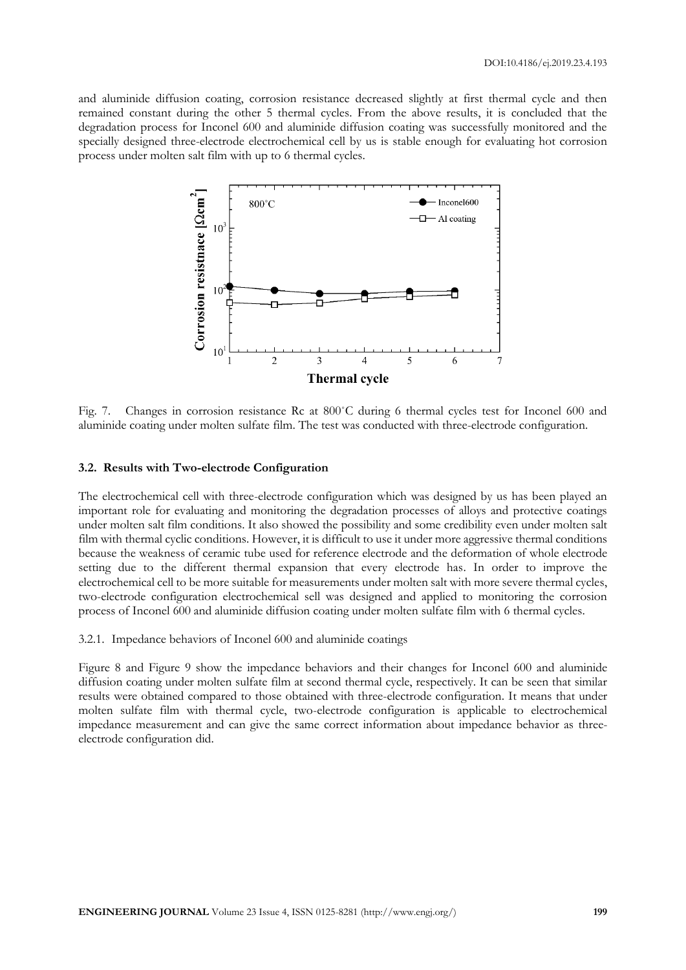and aluminide diffusion coating, corrosion resistance decreased slightly at first thermal cycle and then remained constant during the other 5 thermal cycles. From the above results, it is concluded that the degradation process for Inconel 600 and aluminide diffusion coating was successfully monitored and the specially designed three-electrode electrochemical cell by us is stable enough for evaluating hot corrosion process under molten salt film with up to 6 thermal cycles.



Fig. 7. Changes in corrosion resistance Rc at 800˚C during 6 thermal cycles test for Inconel 600 and aluminide coating under molten sulfate film. The test was conducted with three-electrode configuration.

# **3.2. Results with Two-electrode Configuration**

The electrochemical cell with three-electrode configuration which was designed by us has been played an important role for evaluating and monitoring the degradation processes of alloys and protective coatings under molten salt film conditions. It also showed the possibility and some credibility even under molten salt film with thermal cyclic conditions. However, it is difficult to use it under more aggressive thermal conditions because the weakness of ceramic tube used for reference electrode and the deformation of whole electrode setting due to the different thermal expansion that every electrode has. In order to improve the electrochemical cell to be more suitable for measurements under molten salt with more severe thermal cycles, two-electrode configuration electrochemical sell was designed and applied to monitoring the corrosion process of Inconel 600 and aluminide diffusion coating under molten sulfate film with 6 thermal cycles.

### 3.2.1. Impedance behaviors of Inconel 600 and aluminide coatings

Figure 8 and Figure 9 show the impedance behaviors and their changes for Inconel 600 and aluminide diffusion coating under molten sulfate film at second thermal cycle, respectively. It can be seen that similar results were obtained compared to those obtained with three-electrode configuration. It means that under molten sulfate film with thermal cycle, two-electrode configuration is applicable to electrochemical impedance measurement and can give the same correct information about impedance behavior as threeelectrode configuration did.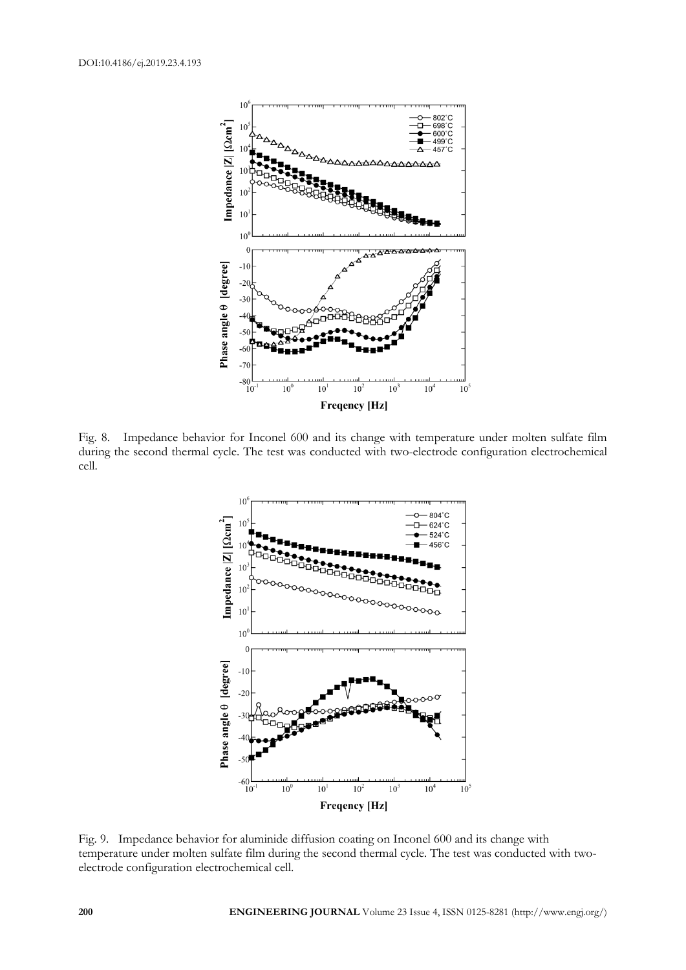

Fig. 8. Impedance behavior for Inconel 600 and its change with temperature under molten sulfate film during the second thermal cycle. The test was conducted with two-electrode configuration electrochemical cell.



Fig. 9. Impedance behavior for aluminide diffusion coating on Inconel 600 and its change with temperature under molten sulfate film during the second thermal cycle. The test was conducted with twoelectrode configuration electrochemical cell.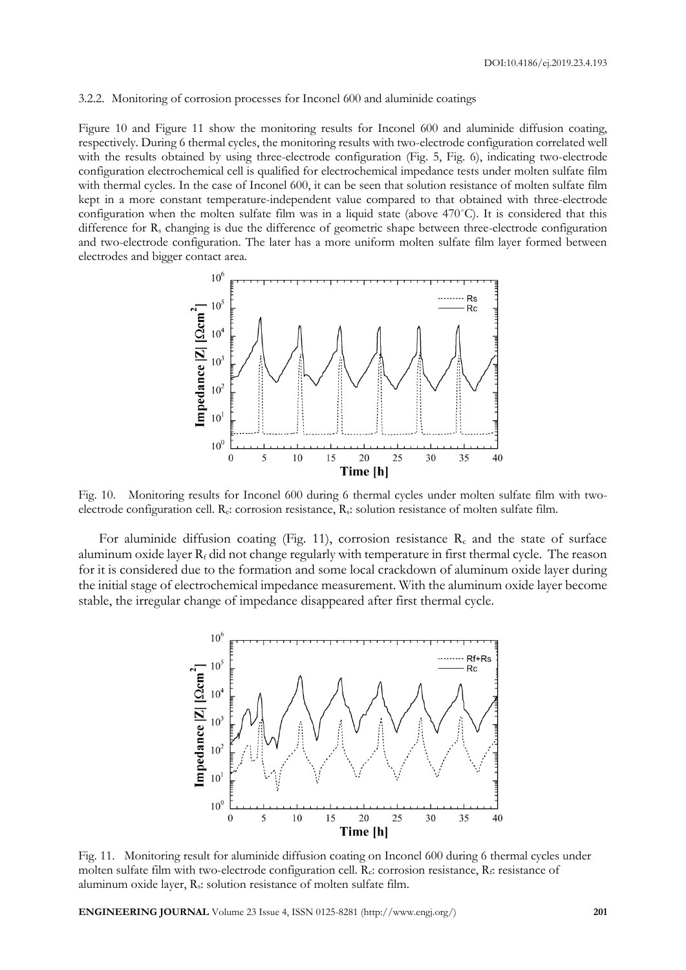#### 3.2.2. Monitoring of corrosion processes for Inconel 600 and aluminide coatings

Figure 10 and Figure 11 show the monitoring results for Inconel 600 and aluminide diffusion coating, respectively. During 6 thermal cycles, the monitoring results with two-electrode configuration correlated well with the results obtained by using three-electrode configuration (Fig. 5, Fig. 6), indicating two-electrode configuration electrochemical cell is qualified for electrochemical impedance tests under molten sulfate film with thermal cycles. In the case of Inconel 600, it can be seen that solution resistance of molten sulfate film kept in a more constant temperature-independent value compared to that obtained with three-electrode configuration when the molten sulfate film was in a liquid state (above  $470^{\circ}$ C). It is considered that this difference for  $R_s$  changing is due the difference of geometric shape between three-electrode configuration and two-electrode configuration. The later has a more uniform molten sulfate film layer formed between electrodes and bigger contact area.



Fig. 10. Monitoring results for Inconel 600 during 6 thermal cycles under molten sulfate film with twoelectrode configuration cell. Rc: corrosion resistance, Rs: solution resistance of molten sulfate film.

For aluminide diffusion coating (Fig. 11), corrosion resistance  $R_c$  and the state of surface aluminum oxide layer  $R_f$  did not change regularly with temperature in first thermal cycle. The reason for it is considered due to the formation and some local crackdown of aluminum oxide layer during the initial stage of electrochemical impedance measurement. With the aluminum oxide layer become stable, the irregular change of impedance disappeared after first thermal cycle.



Fig. 11. Monitoring result for aluminide diffusion coating on Inconel 600 during 6 thermal cycles under molten sulfate film with two-electrode configuration cell.  $R_c$ : corrosion resistance,  $R_f$ : resistance of aluminum oxide layer,  $R_s$ : solution resistance of molten sulfate film.

**ENGINEERING JOURNAL** Volume 23 Issue 4, ISSN 0125-8281 (http://www.engj.org/) **201**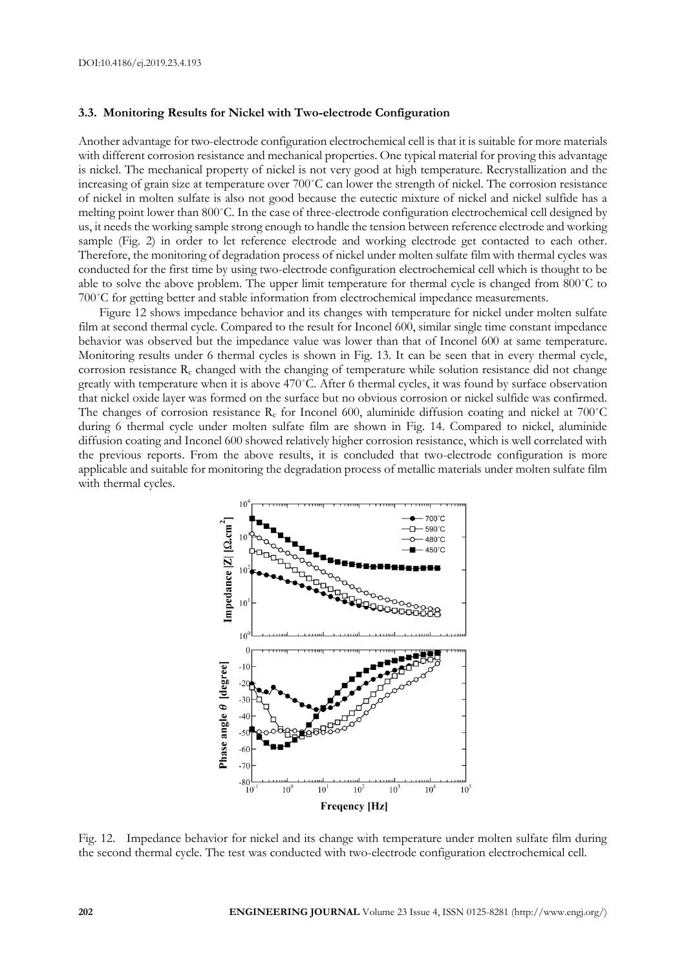#### **3.3. Monitoring Results for Nickel with Two-electrode Configuration**

Another advantage for two-electrode configuration electrochemical cell is that it is suitable for more materials with different corrosion resistance and mechanical properties. One typical material for proving this advantage is nickel. The mechanical property of nickel is not very good at high temperature. Recrystallization and the increasing of grain size at temperature over 700˚C can lower the strength of nickel. The corrosion resistance of nickel in molten sulfate is also not good because the eutectic mixture of nickel and nickel sulfide has a melting point lower than 800˚C. In the case of three-electrode configuration electrochemical cell designed by us, it needs the working sample strong enough to handle the tension between reference electrode and working sample (Fig. 2) in order to let reference electrode and working electrode get contacted to each other. Therefore, the monitoring of degradation process of nickel under molten sulfate film with thermal cycles was conducted for the first time by using two-electrode configuration electrochemical cell which is thought to be able to solve the above problem. The upper limit temperature for thermal cycle is changed from 800˚C to 700˚C for getting better and stable information from electrochemical impedance measurements.

Figure 12 shows impedance behavior and its changes with temperature for nickel under molten sulfate film at second thermal cycle. Compared to the result for Inconel 600, similar single time constant impedance behavior was observed but the impedance value was lower than that of Inconel 600 at same temperature. Monitoring results under 6 thermal cycles is shown in Fig. 13. It can be seen that in every thermal cycle, corrosion resistance  $R_c$  changed with the changing of temperature while solution resistance did not change greatly with temperature when it is above 470˚C. After 6 thermal cycles, it was found by surface observation that nickel oxide layer was formed on the surface but no obvious corrosion or nickel sulfide was confirmed. The changes of corrosion resistance  $R_c$  for Inconel 600, aluminide diffusion coating and nickel at 700°C during 6 thermal cycle under molten sulfate film are shown in Fig. 14. Compared to nickel, aluminide diffusion coating and Inconel 600 showed relatively higher corrosion resistance, which is well correlated with the previous reports. From the above results, it is concluded that two-electrode configuration is more applicable and suitable for monitoring the degradation process of metallic materials under molten sulfate film with thermal cycles.



Fig. 12. Impedance behavior for nickel and its change with temperature under molten sulfate film during the second thermal cycle. The test was conducted with two-electrode configuration electrochemical cell.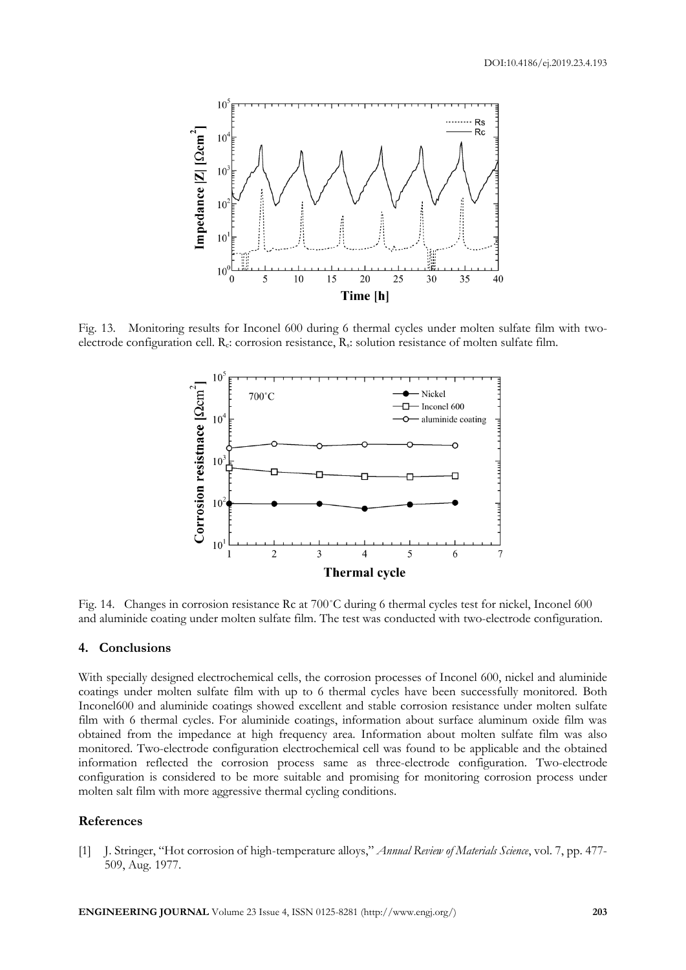

Fig. 13. Monitoring results for Inconel 600 during 6 thermal cycles under molten sulfate film with twoelectrode configuration cell. Rc: corrosion resistance, Rs: solution resistance of molten sulfate film.



Fig. 14. Changes in corrosion resistance Rc at 700˚C during 6 thermal cycles test for nickel, Inconel 600 and aluminide coating under molten sulfate film. The test was conducted with two-electrode configuration.

# **4. Conclusions**

With specially designed electrochemical cells, the corrosion processes of Inconel 600, nickel and aluminide coatings under molten sulfate film with up to 6 thermal cycles have been successfully monitored. Both Inconel600 and aluminide coatings showed excellent and stable corrosion resistance under molten sulfate film with 6 thermal cycles. For aluminide coatings, information about surface aluminum oxide film was obtained from the impedance at high frequency area. Information about molten sulfate film was also monitored. Two-electrode configuration electrochemical cell was found to be applicable and the obtained information reflected the corrosion process same as three-electrode configuration. Two-electrode configuration is considered to be more suitable and promising for monitoring corrosion process under molten salt film with more aggressive thermal cycling conditions.

## **References**

[1] J. Stringer, "Hot corrosion of high-temperature alloys," *Annual Review of Materials Science*, vol. 7, pp. 477- 509, Aug. 1977.